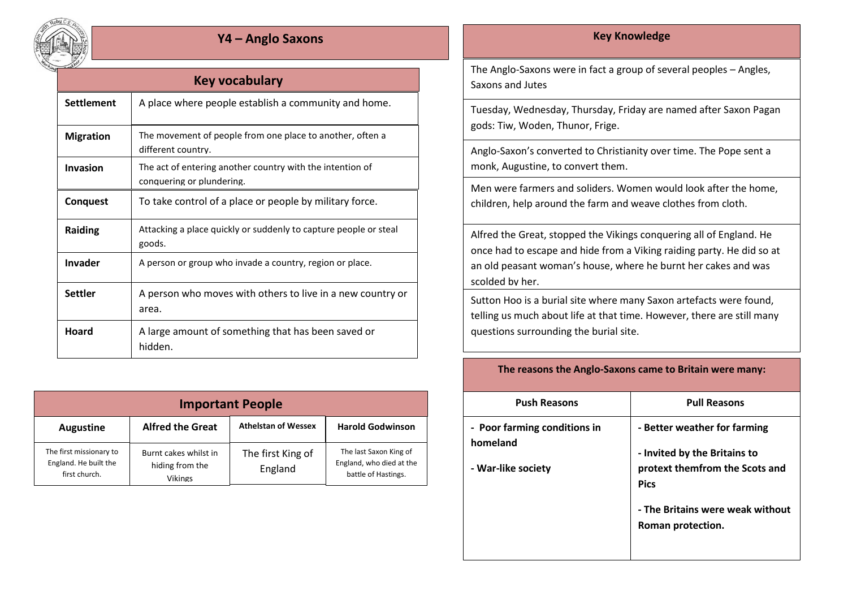

## **Y4 – Anglo Saxons Key Knowledge**

| Key vocabulary    |                                                                                        |  |  |
|-------------------|----------------------------------------------------------------------------------------|--|--|
| <b>Settlement</b> | A place where people establish a community and home.                                   |  |  |
| <b>Migration</b>  | The movement of people from one place to another, often a<br>different country.        |  |  |
| Invasion          | The act of entering another country with the intention of<br>conquering or plundering. |  |  |
| <b>Conquest</b>   | To take control of a place or people by military force.                                |  |  |
| <b>Raiding</b>    | Attacking a place quickly or suddenly to capture people or steal<br>goods.             |  |  |
| Invader           | A person or group who invade a country, region or place.                               |  |  |
| <b>Settler</b>    | A person who moves with others to live in a new country or<br>area.                    |  |  |
| <b>Hoard</b>      | A large amount of something that has been saved or<br>hidden.                          |  |  |

| <b>Important People</b>                                           |                                                            |                              |                                                                           |  |  |
|-------------------------------------------------------------------|------------------------------------------------------------|------------------------------|---------------------------------------------------------------------------|--|--|
| <b>Augustine</b>                                                  | <b>Alfred the Great</b>                                    | <b>Athelstan of Wessex</b>   | <b>Harold Godwinson</b>                                                   |  |  |
| The first missionary to<br>England. He built the<br>first church. | Burnt cakes whilst in<br>hiding from the<br><b>Vikings</b> | The first King of<br>England | The last Saxon King of<br>England, who died at the<br>battle of Hastings. |  |  |

The Anglo-Saxons were in fact a group of several peoples – Angles, Saxons and Jutes

Tuesday, Wednesday, Thursday, Friday are named after Saxon Pagan gods: Tiw, Woden, Thunor, Frige.

Anglo-Saxon's converted to Christianity over time. The Pope sent a monk, Augustine, to convert them.

Men were farmers and soliders. Women would look after the home, children, help around the farm and weave clothes from cloth.

Alfred the Great, stopped the Vikings conquering all of England. He once had to escape and hide from a Viking raiding party. He did so at an old peasant woman's house, where he burnt her cakes and was scolded by her.

Sutton Hoo is a burial site where many Saxon artefacts were found, telling us much about life at that time. However, there are still many questions surrounding the burial site.

## **The reasons the Anglo-Saxons came to Britain were many:**

| <b>Push Reasons</b>                      | <b>Pull Reasons</b>                                          |
|------------------------------------------|--------------------------------------------------------------|
| - Poor farming conditions in<br>homeland | - Better weather for farming<br>- Invited by the Britains to |
| - War-like society                       | protext themfrom the Scots and<br><b>Pics</b>                |
|                                          | - The Britains were weak without<br>Roman protection.        |